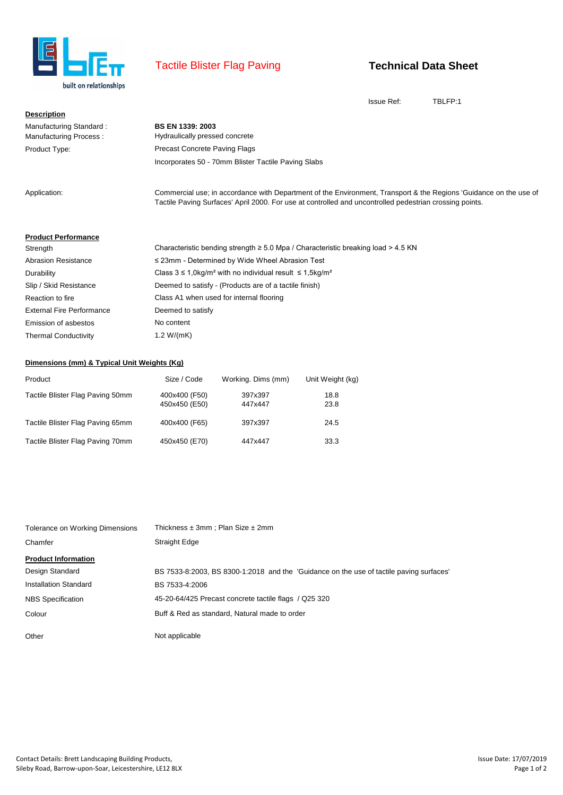

# Tactile Blister Flag Paving

## **Technical Data Sheet**

Issue Ref: TBLFP:1

| <b>Description</b>                                |                                                                                                                                                                                                                              |
|---------------------------------------------------|------------------------------------------------------------------------------------------------------------------------------------------------------------------------------------------------------------------------------|
| Manufacturing Standard:<br>Manufacturing Process: | <b>BS EN 1339: 2003</b><br>Hydraulically pressed concrete                                                                                                                                                                    |
| Product Type:                                     | <b>Precast Concrete Paving Flags</b>                                                                                                                                                                                         |
|                                                   | Incorporates 50 - 70mm Blister Tactile Paving Slabs                                                                                                                                                                          |
| Application:                                      | Commercial use; in accordance with Department of the Environment, Transport & the Regions 'Guidance on the use of<br>Tactile Paving Surfaces' April 2000. For use at controlled and uncontrolled pedestrian crossing points. |

#### **Product Performance**

| Characteristic bending strength $\geq 5.0$ Mpa / Characteristic breaking load $> 4.5$ KN |
|------------------------------------------------------------------------------------------|
| $\leq$ 23mm - Determined by Wide Wheel Abrasion Test                                     |
| Class $3 \le 1.0 \text{kg/m}^2$ with no individual result $\le 1.5 \text{kg/m}^2$        |
| Deemed to satisfy - (Products are of a tactile finish)                                   |
| Class A1 when used for internal flooring                                                 |
| Deemed to satisfy                                                                        |
| No content                                                                               |
| 1.2 W/(mK)                                                                               |
|                                                                                          |

### **Dimensions (mm) & Typical Unit Weights (Kg)**

| Product                          | Size / Code                    | Working. Dims (mm) | Unit Weight (kg) |
|----------------------------------|--------------------------------|--------------------|------------------|
| Tactile Blister Flag Paving 50mm | 400x400 (F50)<br>450x450 (E50) | 397x397<br>447x447 | 18.8<br>23.8     |
| Tactile Blister Flag Paving 65mm | 400x400 (F65)                  | 397x397            | 24.5             |
| Tactile Blister Flag Paving 70mm | 450x450 (E70)                  | 447x447            | 33.3             |

| Tolerance on Working Dimensions | Thickness $\pm 3$ mm; Plan Size $\pm 2$ mm                                              |
|---------------------------------|-----------------------------------------------------------------------------------------|
| Chamfer                         | Straight Edge                                                                           |
| <b>Product Information</b>      |                                                                                         |
| Design Standard                 | BS 7533-8:2003, BS 8300-1:2018 and the 'Guidance on the use of tactile paving surfaces' |
| Installation Standard           | BS 7533-4:2006                                                                          |
| <b>NBS</b> Specification        | 45-20-64/425 Precast concrete tactile flags / Q25 320                                   |
| Colour                          | Buff & Red as standard, Natural made to order                                           |
| Other                           | Not applicable                                                                          |